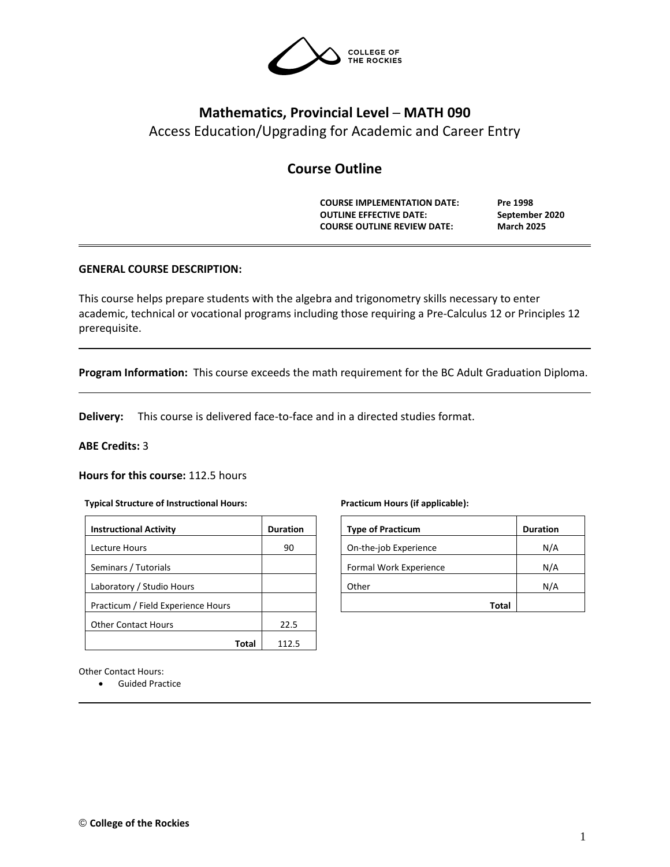

# **Mathematics, Provincial Level ─ MATH 090**

Access Education/Upgrading for Academic and Career Entry

# **Course Outline**

**COURSE IMPLEMENTATION DATE: Pre 1998 OUTLINE EFFECTIVE DATE: September 2020 COURSE OUTLINE REVIEW DATE: March 2025**

# **GENERAL COURSE DESCRIPTION:**

This course helps prepare students with the algebra and trigonometry skills necessary to enter academic, technical or vocational programs including those requiring a Pre-Calculus 12 or Principles 12 prerequisite.

**Program Information:** This course exceeds the math requirement for the BC Adult Graduation Diploma.

**Delivery:** This course is delivered face-to-face and in a directed studies format.

# **ABE Credits:** 3

**Hours for this course:** 112.5 hours

### **Typical Structure of Instructional Hours:**

| <b>Instructional Activity</b>      | <b>Duration</b> |
|------------------------------------|-----------------|
| Lecture Hours                      | 90              |
| Seminars / Tutorials               |                 |
| Laboratory / Studio Hours          |                 |
| Practicum / Field Experience Hours |                 |
| <b>Other Contact Hours</b>         | 22.5            |
|                                    |                 |

### **Practicum Hours (if applicable):**

| <b>Type of Practicum</b> | <b>Duration</b> |
|--------------------------|-----------------|
| On-the-job Experience    | N/A             |
| Formal Work Experience   | N/A             |
| Other                    | N/A             |
| Total                    |                 |

Other Contact Hours:

• Guided Practice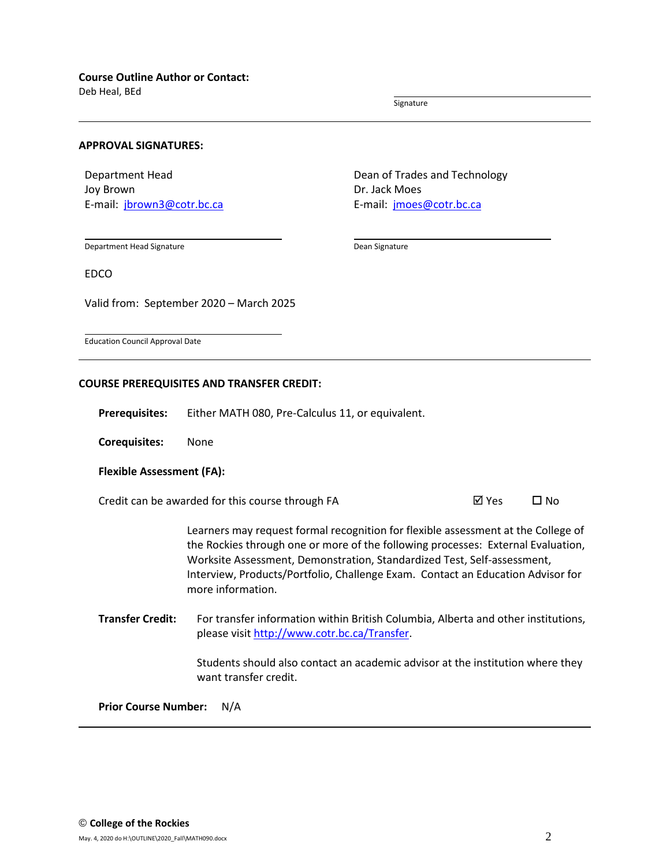Deb Heal, BEd

Signature

### **APPROVAL SIGNATURES:**

Department Head Joy Brown E-mail: [jbrown3@cotr.bc.ca](mailto:jbrown3@cotr.bc.ca) Dean of Trades and Technology Dr. Jack Moes E-mail: *[jmoes@cotr.bc.ca](mailto:jmoes@cotr.bc.ca)* 

Department Head Signature

Dean Signature

EDCO

Valid from: September 2020 – March 2025

Education Council Approval Date

# **COURSE PREREQUISITES AND TRANSFER CREDIT:**

**Prerequisites:** Either MATH 080, Pre-Calculus 11, or equivalent.

**Corequisites:** None

### **Flexible Assessment (FA):**

Credit can be awarded for this course through FA  $\boxtimes$  Yes  $\Box$  No

Learners may request formal recognition for flexible assessment at the College of the Rockies through one or more of the following processes: External Evaluation, Worksite Assessment, Demonstration, Standardized Test, Self-assessment, Interview, Products/Portfolio, Challenge Exam. Contact an Education Advisor for more information.

**Transfer Credit:** For transfer information within British Columbia, Alberta and other institutions, please visit [http://www.cotr.bc.ca/Transfer.](http://www.cotr.bc.ca/Transfer)

> Students should also contact an academic advisor at the institution where they want transfer credit.

**Prior Course Number:** N/A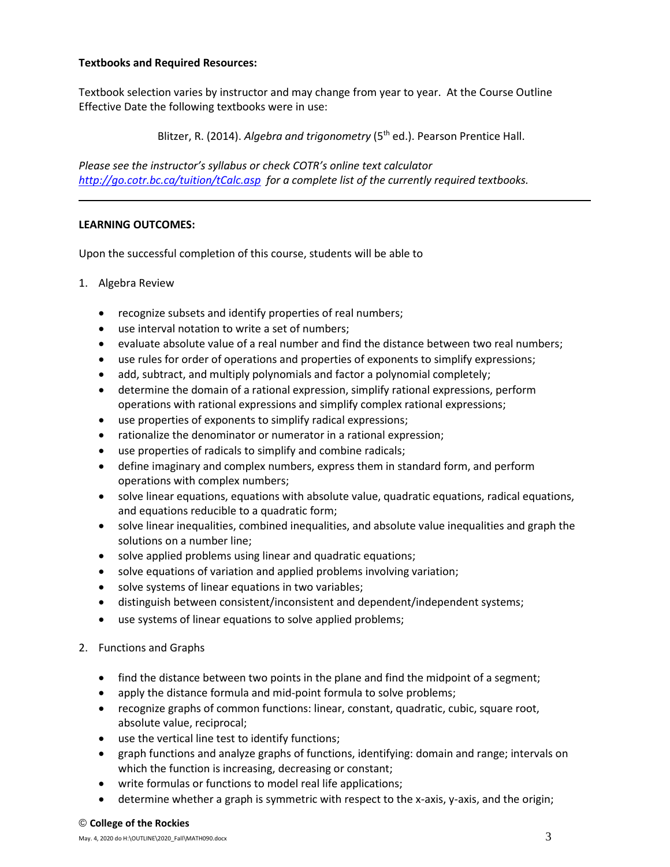# **Textbooks and Required Resources:**

Textbook selection varies by instructor and may change from year to year. At the Course Outline Effective Date the following textbooks were in use:

Blitzer, R. (2014). *Algebra and trigonometry* (5<sup>th</sup> ed.). Pearson Prentice Hall.

*Please see the instructor's syllabus or check COTR's online text calculator <http://go.cotr.bc.ca/tuition/tCalc.asp>for a complete list of the currently required textbooks.*

# **LEARNING OUTCOMES:**

Upon the successful completion of this course, students will be able to

- 1. Algebra Review
	- recognize subsets and identify properties of real numbers;
	- use interval notation to write a set of numbers;
	- evaluate absolute value of a real number and find the distance between two real numbers;
	- use rules for order of operations and properties of exponents to simplify expressions;
	- add, subtract, and multiply polynomials and factor a polynomial completely;
	- determine the domain of a rational expression, simplify rational expressions, perform operations with rational expressions and simplify complex rational expressions;
	- use properties of exponents to simplify radical expressions;
	- rationalize the denominator or numerator in a rational expression;
	- use properties of radicals to simplify and combine radicals;
	- define imaginary and complex numbers, express them in standard form, and perform operations with complex numbers;
	- solve linear equations, equations with absolute value, quadratic equations, radical equations, and equations reducible to a quadratic form;
	- solve linear inequalities, combined inequalities, and absolute value inequalities and graph the solutions on a number line;
	- solve applied problems using linear and quadratic equations;
	- solve equations of variation and applied problems involving variation;
	- solve systems of linear equations in two variables;
	- distinguish between consistent/inconsistent and dependent/independent systems;
	- use systems of linear equations to solve applied problems;
- 2. Functions and Graphs
	- find the distance between two points in the plane and find the midpoint of a segment;
	- apply the distance formula and mid-point formula to solve problems;
	- recognize graphs of common functions: linear, constant, quadratic, cubic, square root, absolute value, reciprocal;
	- use the vertical line test to identify functions;
	- graph functions and analyze graphs of functions, identifying: domain and range; intervals on which the function is increasing, decreasing or constant;
	- write formulas or functions to model real life applications;
	- determine whether a graph is symmetric with respect to the x-axis, y-axis, and the origin;

### © **College of the Rockies**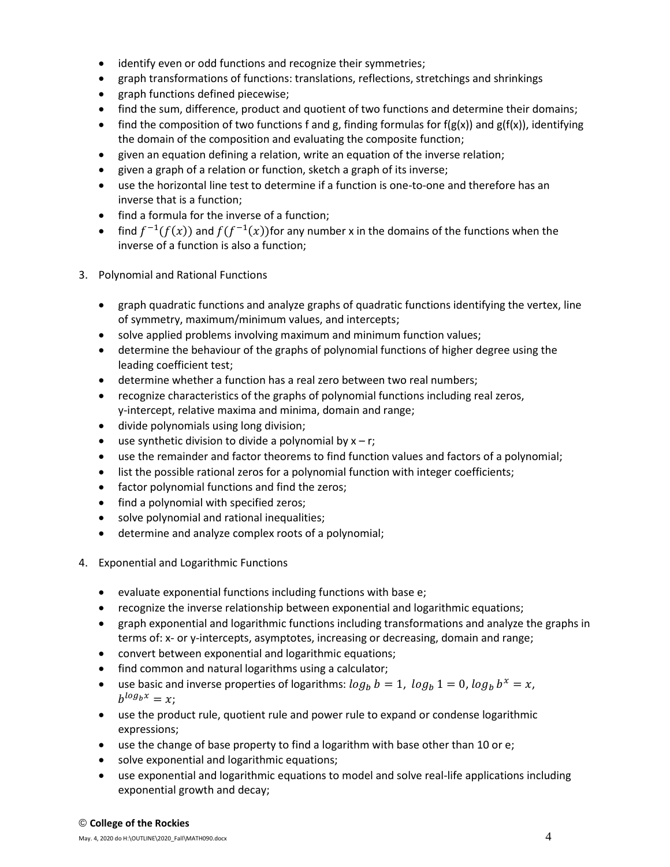- identify even or odd functions and recognize their symmetries;
- graph transformations of functions: translations, reflections, stretchings and shrinkings
- graph functions defined piecewise;
- find the sum, difference, product and quotient of two functions and determine their domains;
- find the composition of two functions f and g, finding formulas for f(g(x)) and g(f(x)), identifying the domain of the composition and evaluating the composite function;
- given an equation defining a relation, write an equation of the inverse relation;
- given a graph of a relation or function, sketch a graph of its inverse;
- use the horizontal line test to determine if a function is one-to-one and therefore has an inverse that is a function;
- find a formula for the inverse of a function;
- find  $f^{-1}(f(x))$  and  $f(f^{-1}(x))$  for any number x in the domains of the functions when the inverse of a function is also a function;
- 3. Polynomial and Rational Functions
	- graph quadratic functions and analyze graphs of quadratic functions identifying the vertex, line of symmetry, maximum/minimum values, and intercepts;
	- solve applied problems involving maximum and minimum function values;
	- determine the behaviour of the graphs of polynomial functions of higher degree using the leading coefficient test;
	- determine whether a function has a real zero between two real numbers;
	- recognize characteristics of the graphs of polynomial functions including real zeros, y-intercept, relative maxima and minima, domain and range;
	- divide polynomials using long division;
	- use synthetic division to divide a polynomial by  $x r$ ;
	- use the remainder and factor theorems to find function values and factors of a polynomial;
	- list the possible rational zeros for a polynomial function with integer coefficients;
	- factor polynomial functions and find the zeros;
	- find a polynomial with specified zeros;
	- solve polynomial and rational inequalities;
	- determine and analyze complex roots of a polynomial;
- 4. Exponential and Logarithmic Functions
	- evaluate exponential functions including functions with base e;
	- recognize the inverse relationship between exponential and logarithmic equations;
	- graph exponential and logarithmic functions including transformations and analyze the graphs in terms of: x- or y-intercepts, asymptotes, increasing or decreasing, domain and range;
	- convert between exponential and logarithmic equations;
	- find common and natural logarithms using a calculator;
	- use basic and inverse properties of logarithms:  $log_b b = 1$ ,  $log_b 1 = 0$ ,  $log_b b^x = x$ ,  $b^{log_b x} = x;$
	- use the product rule, quotient rule and power rule to expand or condense logarithmic expressions;
	- use the change of base property to find a logarithm with base other than 10 or e;
	- solve exponential and logarithmic equations;
	- use exponential and logarithmic equations to model and solve real-life applications including exponential growth and decay;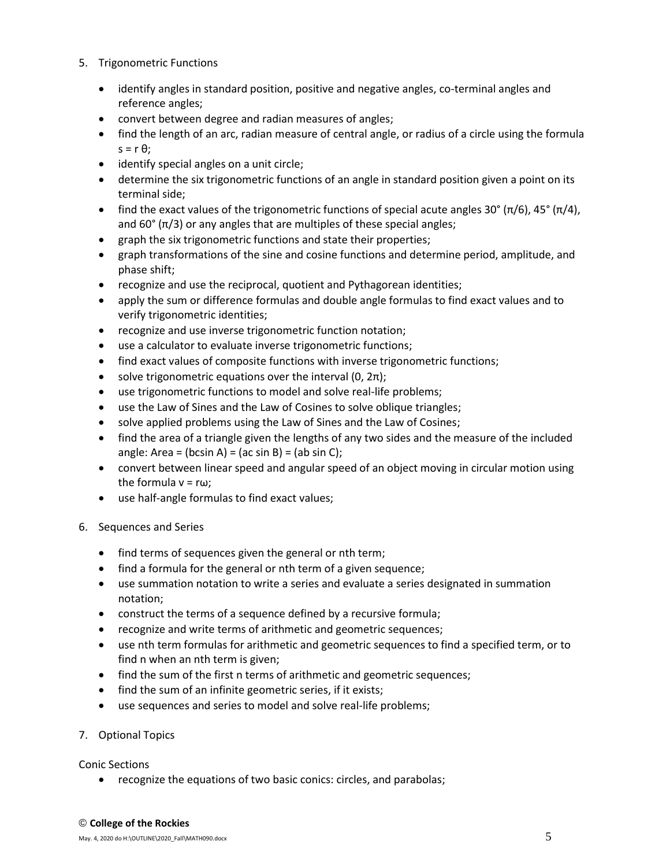- 5. Trigonometric Functions
	- identify angles in standard position, positive and negative angles, co-terminal angles and reference angles;
	- convert between degree and radian measures of angles;
	- find the length of an arc, radian measure of central angle, or radius of a circle using the formula  $s = r \theta$ ;
	- identify special angles on a unit circle;
	- determine the six trigonometric functions of an angle in standard position given a point on its terminal side;
	- find the exact values of the trigonometric functions of special acute angles 30° (π/6), 45° (π/4), and  $60^{\circ}$  ( $\pi/3$ ) or any angles that are multiples of these special angles;
	- graph the six trigonometric functions and state their properties;
	- graph transformations of the sine and cosine functions and determine period, amplitude, and phase shift;
	- recognize and use the reciprocal, quotient and Pythagorean identities;
	- apply the sum or difference formulas and double angle formulas to find exact values and to verify trigonometric identities;
	- recognize and use inverse trigonometric function notation;
	- use a calculator to evaluate inverse trigonometric functions;
	- find exact values of composite functions with inverse trigonometric functions;
	- solve trigonometric equations over the interval  $(0, 2\pi)$ ;
	- use trigonometric functions to model and solve real-life problems;
	- use the Law of Sines and the Law of Cosines to solve oblique triangles;
	- solve applied problems using the Law of Sines and the Law of Cosines;
	- find the area of a triangle given the lengths of any two sides and the measure of the included angle: Area = (bcsin A) = (ac sin B) = (ab sin C);
	- convert between linear speed and angular speed of an object moving in circular motion using the formula  $v = r\omega$ ;
	- use half-angle formulas to find exact values;
- 6. Sequences and Series
	- find terms of sequences given the general or nth term;
	- find a formula for the general or nth term of a given sequence;
	- use summation notation to write a series and evaluate a series designated in summation notation;
	- construct the terms of a sequence defined by a recursive formula;
	- recognize and write terms of arithmetic and geometric sequences;
	- use nth term formulas for arithmetic and geometric sequences to find a specified term, or to find n when an nth term is given;
	- find the sum of the first n terms of arithmetic and geometric sequences;
	- find the sum of an infinite geometric series, if it exists;
	- use sequences and series to model and solve real-life problems;
- 7. Optional Topics

Conic Sections

• recognize the equations of two basic conics: circles, and parabolas;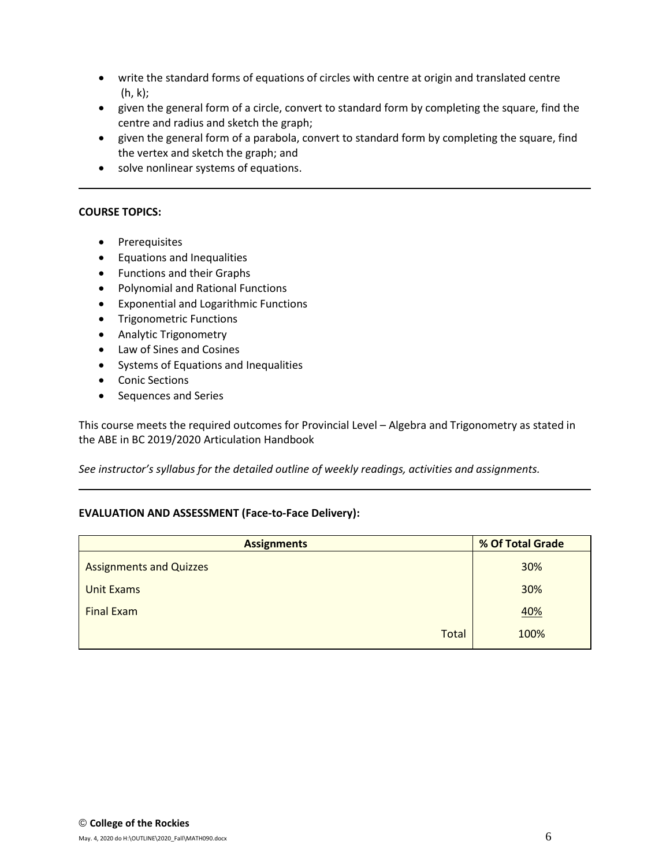- write the standard forms of equations of circles with centre at origin and translated centre (h, k);
- given the general form of a circle, convert to standard form by completing the square, find the centre and radius and sketch the graph;
- given the general form of a parabola, convert to standard form by completing the square, find the vertex and sketch the graph; and
- solve nonlinear systems of equations.

# **COURSE TOPICS:**

- Prerequisites
- Equations and Inequalities
- Functions and their Graphs
- Polynomial and Rational Functions
- Exponential and Logarithmic Functions
- Trigonometric Functions
- Analytic Trigonometry
- Law of Sines and Cosines
- Systems of Equations and Inequalities
- Conic Sections
- Sequences and Series

This course meets the required outcomes for Provincial Level – Algebra and Trigonometry as stated in the ABE in BC 2019/2020 Articulation Handbook

*See instructor's syllabus for the detailed outline of weekly readings, activities and assignments.* 

# **EVALUATION AND ASSESSMENT (Face-to-Face Delivery):**

| <b>Assignments</b>             | % Of Total Grade |  |  |
|--------------------------------|------------------|--|--|
| <b>Assignments and Quizzes</b> | 30%              |  |  |
| Unit Exams                     | 30%              |  |  |
| <b>Final Exam</b>              | 40%              |  |  |
| <b>Total</b>                   | 100%             |  |  |